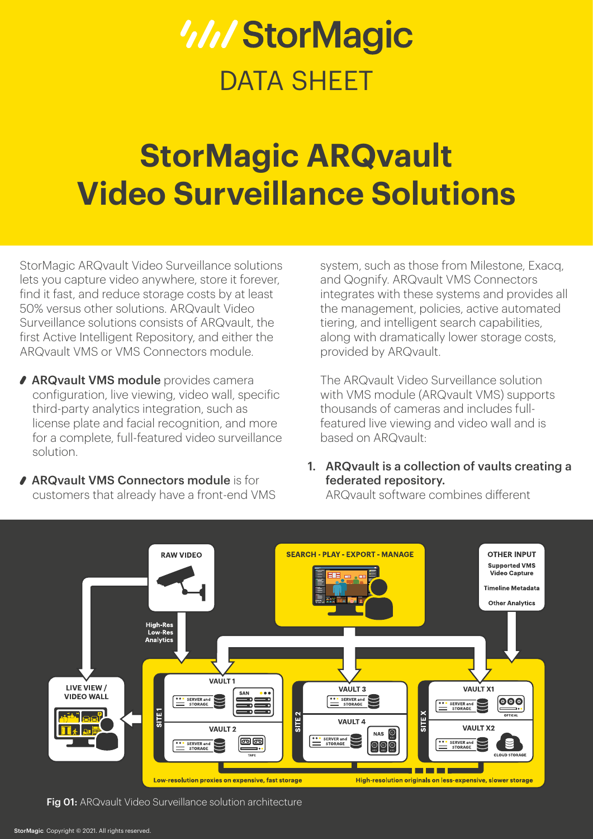# *WIStorMagic* DATA SHEFT

## **StorMagic ARQvault Video Surveillance Solutions**

StorMagic ARQvault Video Surveillance solutions lets you capture video anywhere, store it forever, find it fast, and reduce storage costs by at least 50% versus other solutions. ARQvault Video Surveillance solutions consists of ARQvault, the first Active Intelligent Repository, and either the ARQvault VMS or VMS Connectors module.

- **ARQvault VMS module** provides camera configuration, live viewing, video wall, specific third-party analytics integration, such as license plate and facial recognition, and more for a complete, full-featured video surveillance solution.
- ◆ ARQvault VMS Connectors module is for customers that already have a front-end VMS

system, such as those from Milestone, Exacq, and Qognify. ARQvault VMS Connectors integrates with these systems and provides all the management, policies, active automated tiering, and intelligent search capabilities, along with dramatically lower storage costs, provided by ARQvault.

The ARQvault Video Surveillance solution with VMS module (ARQvault VMS) supports thousands of cameras and includes fullfeatured live viewing and video wall and is based on ARQvault:

1. ARQvault is a collection of vaults creating a federated repository.

ARQvault software combines different



Fig 01: ARQvault Video Surveillance solution architecture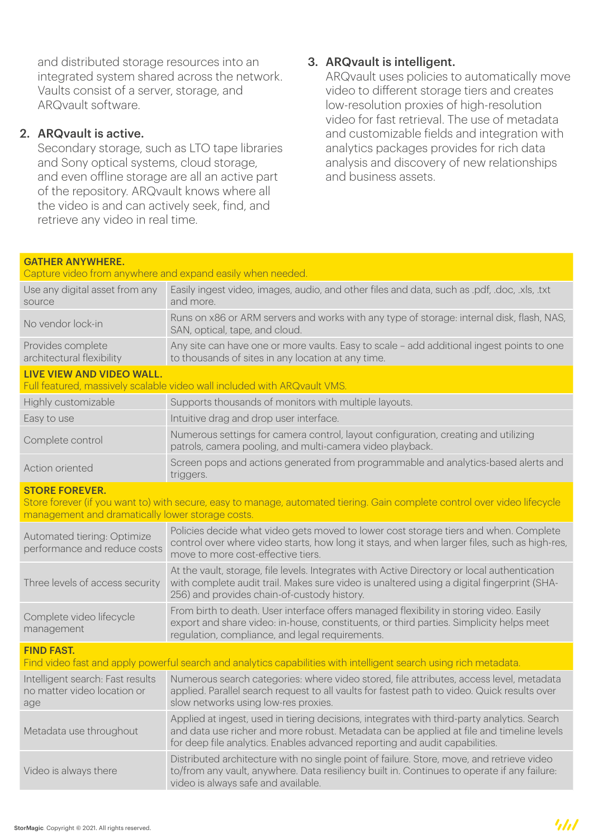and distributed storage resources into an integrated system shared across the network. Vaults consist of a server, storage, and ARQvault software.

#### 2. ARQvault is active.

Secondary storage, such as LTO tape libraries and Sony optical systems, cloud storage, and even offline storage are all an active part of the repository. ARQvault knows where all the video is and can actively seek, find, and retrieve any video in real time.

#### 3. ARQvault is intelligent.

ARQvault uses policies to automatically move video to different storage tiers and creates low-resolution proxies of high-resolution video for fast retrieval. The use of metadata and customizable fields and integration with analytics packages provides for rich data analysis and discovery of new relationships and business assets.

| <b>GATHER ANYWHERE.</b><br>Capture video from anywhere and expand easily when needed.                                                              |                                                                                                                                                                                                                                                                        |  |
|----------------------------------------------------------------------------------------------------------------------------------------------------|------------------------------------------------------------------------------------------------------------------------------------------------------------------------------------------------------------------------------------------------------------------------|--|
| Use any digital asset from any<br>source                                                                                                           | Easily ingest video, images, audio, and other files and data, such as .pdf, .doc, .xls, .txt<br>and more.                                                                                                                                                              |  |
| No vendor lock-in                                                                                                                                  | Runs on x86 or ARM servers and works with any type of storage: internal disk, flash, NAS,<br>SAN, optical, tape, and cloud.                                                                                                                                            |  |
| Provides complete<br>architectural flexibility                                                                                                     | Any site can have one or more vaults. Easy to scale - add additional ingest points to one<br>to thousands of sites in any location at any time.                                                                                                                        |  |
| <b>LIVE VIEW AND VIDEO WALL.</b><br>Full featured, massively scalable video wall included with ARQvault VMS.                                       |                                                                                                                                                                                                                                                                        |  |
| Highly customizable                                                                                                                                | Supports thousands of monitors with multiple layouts.                                                                                                                                                                                                                  |  |
| Easy to use                                                                                                                                        | Intuitive drag and drop user interface.                                                                                                                                                                                                                                |  |
| Complete control                                                                                                                                   | Numerous settings for camera control, layout configuration, creating and utilizing<br>patrols, camera pooling, and multi-camera video playback.                                                                                                                        |  |
| Action oriented                                                                                                                                    | Screen pops and actions generated from programmable and analytics-based alerts and<br>triggers.                                                                                                                                                                        |  |
| <b>STORE FOREVER.</b><br>Store forever (if you want to) with secure, easy to manage, automated tiering. Gain complete control over video lifecycle |                                                                                                                                                                                                                                                                        |  |
| management and dramatically lower storage costs.                                                                                                   |                                                                                                                                                                                                                                                                        |  |
| Automated tiering: Optimize<br>performance and reduce costs                                                                                        | Policies decide what video gets moved to lower cost storage tiers and when. Complete<br>control over where video starts, how long it stays, and when larger files, such as high-res,<br>move to more cost-effective tiers.                                             |  |
| Three levels of access security                                                                                                                    | At the vault, storage, file levels. Integrates with Active Directory or local authentication<br>with complete audit trail. Makes sure video is unaltered using a digital fingerprint (SHA-<br>256) and provides chain-of-custody history.                              |  |
| Complete video lifecycle<br>management                                                                                                             | From birth to death. User interface offers managed flexibility in storing video. Easily<br>export and share video: in-house, constituents, or third parties. Simplicity helps meet<br>regulation, compliance, and legal requirements.                                  |  |
| <b>FIND FAST.</b><br>Find video fast and apply powerful search and analytics capabilities with intelligent search using rich metadata.             |                                                                                                                                                                                                                                                                        |  |
| Intelligent search: Fast results<br>no matter video location or<br>age                                                                             | Numerous search categories: where video stored, file attributes, access level, metadata<br>applied. Parallel search request to all vaults for fastest path to video. Quick results over<br>slow networks using low-res proxies.                                        |  |
| Metadata use throughout                                                                                                                            | Applied at ingest, used in tiering decisions, integrates with third-party analytics. Search<br>and data use richer and more robust. Metadata can be applied at file and timeline levels<br>for deep file analytics. Enables advanced reporting and audit capabilities. |  |
| Video is always there                                                                                                                              | Distributed architecture with no single point of failure. Store, move, and retrieve video<br>to/from any vault, anywhere. Data resiliency built in. Continues to operate if any failure:<br>video is always safe and available.                                        |  |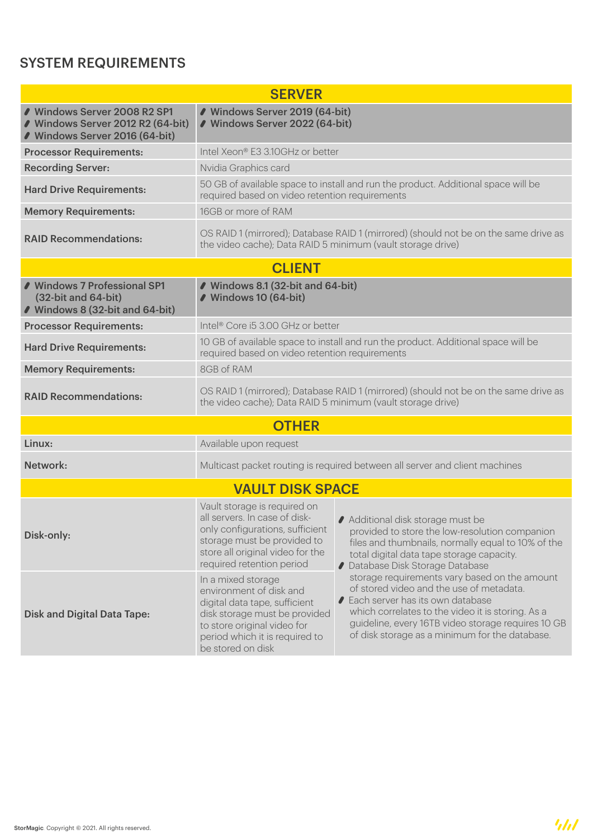## SYSTEM REQUIREMENTS

| <b>SERVER</b>                                                                                       |                                                                                                                                                                                                       |                                                                                                                                                                                                                                                                                              |  |
|-----------------------------------------------------------------------------------------------------|-------------------------------------------------------------------------------------------------------------------------------------------------------------------------------------------------------|----------------------------------------------------------------------------------------------------------------------------------------------------------------------------------------------------------------------------------------------------------------------------------------------|--|
| ◆ Windows Server 2008 R2 SP1<br>● Windows Server 2012 R2 (64-bit)<br>● Windows Server 2016 (64-bit) | ● Windows Server 2019 (64-bit)<br>● Windows Server 2022 (64-bit)                                                                                                                                      |                                                                                                                                                                                                                                                                                              |  |
| <b>Processor Requirements:</b>                                                                      | Intel Xeon® E3 3.10GHz or better                                                                                                                                                                      |                                                                                                                                                                                                                                                                                              |  |
| <b>Recording Server:</b>                                                                            | Nvidia Graphics card                                                                                                                                                                                  |                                                                                                                                                                                                                                                                                              |  |
| <b>Hard Drive Requirements:</b>                                                                     | required based on video retention requirements                                                                                                                                                        | 50 GB of available space to install and run the product. Additional space will be                                                                                                                                                                                                            |  |
| <b>Memory Requirements:</b>                                                                         | 16GB or more of RAM                                                                                                                                                                                   |                                                                                                                                                                                                                                                                                              |  |
| <b>RAID Recommendations:</b>                                                                        | the video cache); Data RAID 5 minimum (vault storage drive)                                                                                                                                           | OS RAID 1 (mirrored); Database RAID 1 (mirrored) (should not be on the same drive as                                                                                                                                                                                                         |  |
|                                                                                                     | <b>CLIENT</b>                                                                                                                                                                                         |                                                                                                                                                                                                                                                                                              |  |
| ◆ Windows 7 Professional SP1<br>(32-bit and 64-bit)<br>● Windows 8 (32-bit and 64-bit)              | ● Windows 8.1 (32-bit and 64-bit)<br>● Windows 10 (64-bit)                                                                                                                                            |                                                                                                                                                                                                                                                                                              |  |
| <b>Processor Requirements:</b>                                                                      | Intel <sup>®</sup> Core i5 3.00 GHz or better                                                                                                                                                         |                                                                                                                                                                                                                                                                                              |  |
| <b>Hard Drive Requirements:</b>                                                                     | required based on video retention requirements                                                                                                                                                        | 10 GB of available space to install and run the product. Additional space will be                                                                                                                                                                                                            |  |
| <b>Memory Requirements:</b>                                                                         | 8GB of RAM                                                                                                                                                                                            |                                                                                                                                                                                                                                                                                              |  |
| <b>RAID Recommendations:</b>                                                                        | the video cache); Data RAID 5 minimum (vault storage drive)                                                                                                                                           | OS RAID 1 (mirrored); Database RAID 1 (mirrored) (should not be on the same drive as                                                                                                                                                                                                         |  |
|                                                                                                     | <b>OTHER</b>                                                                                                                                                                                          |                                                                                                                                                                                                                                                                                              |  |
| Linux:                                                                                              | Available upon request                                                                                                                                                                                |                                                                                                                                                                                                                                                                                              |  |
| Network:                                                                                            |                                                                                                                                                                                                       | Multicast packet routing is required between all server and client machines                                                                                                                                                                                                                  |  |
|                                                                                                     | <b>VAULT DISK SPACE</b>                                                                                                                                                                               |                                                                                                                                                                                                                                                                                              |  |
| Disk-only:                                                                                          | Vault storage is required on<br>all servers. In case of disk-<br>only configurations, sufficient<br>storage must be provided to<br>store all original video for the<br>required retention period      | Additional disk storage must be<br>provided to store the low-resolution companion<br>files and thumbnails, normally equal to 10% of the<br>total digital data tape storage capacity.<br>● Database Disk Storage Database                                                                     |  |
| <b>Disk and Digital Data Tape:</b>                                                                  | In a mixed storage<br>environment of disk and<br>digital data tape, sufficient<br>disk storage must be provided<br>to store original video for<br>period which it is required to<br>be stored on disk | storage requirements vary based on the amount<br>of stored video and the use of metadata.<br>● Each server has its own database<br>which correlates to the video it is storing. As a<br>guideline, every 16TB video storage requires 10 GB<br>of disk storage as a minimum for the database. |  |